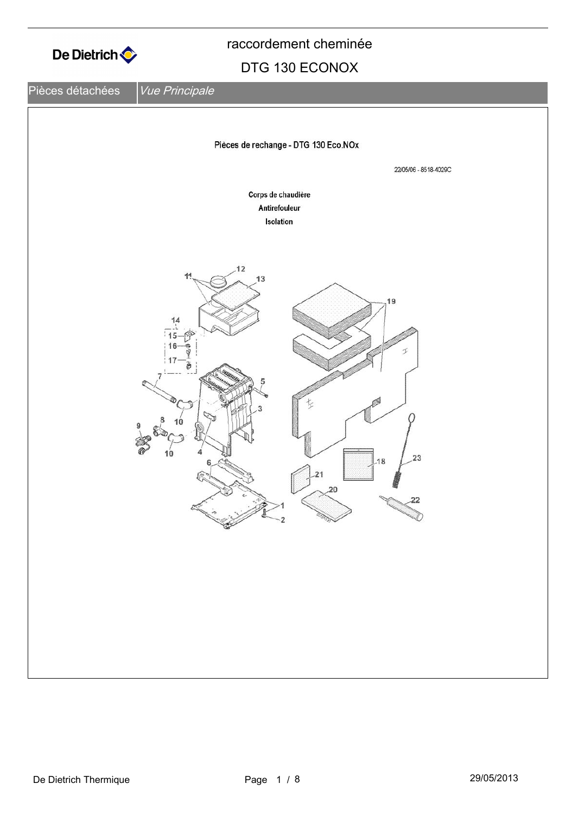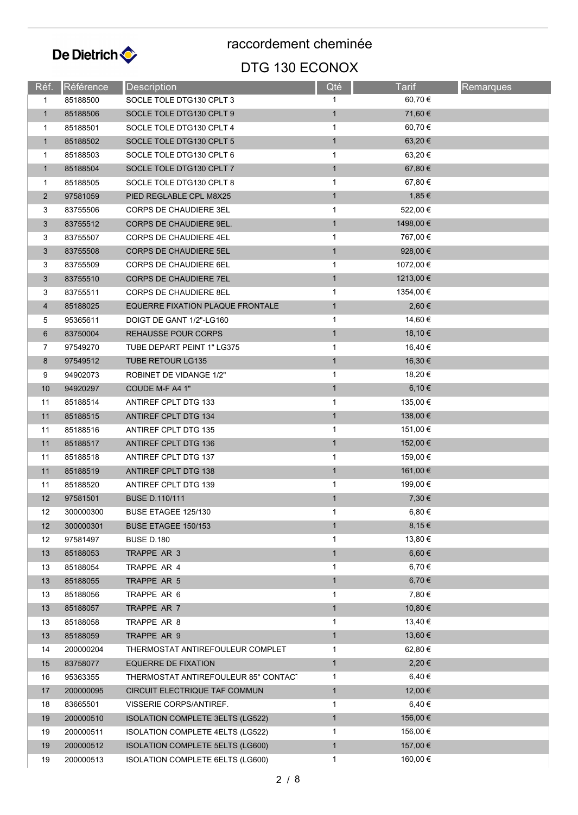

| Réf.           | <b>Référence</b> | Description                             | Qté          | <b>Tarif</b> | <b>Remarques</b> |
|----------------|------------------|-----------------------------------------|--------------|--------------|------------------|
| 1              | 85188500         | SOCLE TOLE DTG130 CPLT 3                | $\mathbf 1$  | 60,70 €      |                  |
| $\mathbf{1}$   | 85188506         | SOCLE TOLE DTG130 CPLT 9                | $\mathbf{1}$ | 71,60 €      |                  |
| $\mathbf{1}$   | 85188501         | SOCLE TOLE DTG130 CPLT 4                | $\mathbf{1}$ | 60,70 €      |                  |
| $\mathbf{1}$   | 85188502         | SOCLE TOLE DTG130 CPLT 5                | $\mathbf{1}$ | 63,20 €      |                  |
| $\mathbf{1}$   | 85188503         | SOCLE TOLE DTG130 CPLT 6                | 1            | 63,20 €      |                  |
| $\mathbf{1}$   | 85188504         | SOCLE TOLE DTG130 CPLT 7                | $\mathbf{1}$ | 67,80 €      |                  |
| 1              | 85188505         | SOCLE TOLE DTG130 CPLT 8                | 1            | 67,80 €      |                  |
| $\overline{2}$ | 97581059         | PIED REGLABLE CPL M8X25                 | $\mathbf{1}$ | 1,85 €       |                  |
| 3              | 83755506         | <b>CORPS DE CHAUDIERE 3EL</b>           | $\mathbf{1}$ | 522,00 €     |                  |
| $\mathbf{3}$   | 83755512         | <b>CORPS DE CHAUDIERE 9EL.</b>          | $\mathbf{1}$ | 1498,00 €    |                  |
| 3              | 83755507         | <b>CORPS DE CHAUDIERE 4EL</b>           | 1            | 767,00 €     |                  |
| $\mathbf{3}$   | 83755508         | <b>CORPS DE CHAUDIERE 5EL</b>           | $\mathbf{1}$ | 928,00 €     |                  |
| 3              | 83755509         | CORPS DE CHAUDIERE 6EL                  | 1            | 1072,00 €    |                  |
| 3              | 83755510         | <b>CORPS DE CHAUDIERE 7EL</b>           | $\mathbf{1}$ | 1213,00 €    |                  |
| 3              | 83755511         | <b>CORPS DE CHAUDIERE 8EL</b>           | 1            | 1354,00 €    |                  |
| $\overline{4}$ | 85188025         | EQUERRE FIXATION PLAQUE FRONTALE        | $\mathbf{1}$ | 2,60 €       |                  |
| 5              | 95365611         | DOIGT DE GANT 1/2"-LG160                | $\mathbf{1}$ | 14,60 €      |                  |
| 6              | 83750004         | <b>REHAUSSE POUR CORPS</b>              | $\mathbf{1}$ | 18,10 €      |                  |
| 7              | 97549270         | TUBE DEPART PEINT 1" LG375              | 1            | 16,40 €      |                  |
| 8              | 97549512         | <b>TUBE RETOUR LG135</b>                | $\mathbf{1}$ | 16,30 €      |                  |
| 9              | 94902073         | ROBINET DE VIDANGE 1/2"                 | 1            | 18,20 €      |                  |
| 10             | 94920297         | COUDE M-F A4 1"                         | $\mathbf{1}$ | 6,10€        |                  |
| 11             | 85188514         | ANTIREF CPLT DTG 133                    | $\mathbf{1}$ | 135,00 €     |                  |
| 11             | 85188515         | ANTIREF CPLT DTG 134                    | $\mathbf{1}$ | 138,00 €     |                  |
| 11             | 85188516         | ANTIREF CPLT DTG 135                    | $\mathbf 1$  | 151,00 €     |                  |
| 11             | 85188517         | ANTIREF CPLT DTG 136                    | $\mathbf{1}$ | 152,00 €     |                  |
| 11             | 85188518         | ANTIREF CPLT DTG 137                    | 1            | 159,00 €     |                  |
| 11             | 85188519         | <b>ANTIREF CPLT DTG 138</b>             | $\mathbf{1}$ | 161,00 €     |                  |
| 11             | 85188520         | ANTIREF CPLT DTG 139                    | 1            | 199,00 €     |                  |
| 12             | 97581501         | <b>BUSE D.110/111</b>                   | $\mathbf{1}$ | 7,30 €       |                  |
| 12             | 300000300        | BUSE ETAGEE 125/130                     | $\mathbf{1}$ | 6,80 $\in$   |                  |
| 12             | 300000301        | BUSE ETAGEE 150/153                     | $\mathbf{1}$ | 8,15€        |                  |
| 12             | 97581497         | <b>BUSE D.180</b>                       | 1            | 13,80 €      |                  |
| 13             | 85188053         | TRAPPE AR 3                             | $\mathbf{1}$ | $6,60 \in$   |                  |
| 13             | 85188054         | TRAPPE AR 4                             | 1            | 6,70 €       |                  |
| 13             | 85188055         | TRAPPE AR 5                             | $\mathbf{1}$ | 6,70 €       |                  |
| 13             | 85188056         | TRAPPE AR 6                             | 1            | 7,80 €       |                  |
| 13             | 85188057         | TRAPPE AR 7                             | $\mathbf{1}$ | 10,80 €      |                  |
| 13             | 85188058         | TRAPPE AR 8                             | 1            | 13,40 €      |                  |
| 13             | 85188059         | TRAPPE AR 9                             | $\mathbf{1}$ | 13,60 €      |                  |
| 14             | 200000204        | THERMOSTAT ANTIREFOULEUR COMPLET        | 1            | 62,80 €      |                  |
| 15             | 83758077         | <b>EQUERRE DE FIXATION</b>              | $\mathbf{1}$ | 2,20€        |                  |
| 16             | 95363355         | THERMOSTAT ANTIREFOULEUR 85° CONTAC'    | 1            | 6,40 €       |                  |
| 17             | 200000095        | CIRCUIT ELECTRIQUE TAF COMMUN           | $\mathbf{1}$ | 12,00 €      |                  |
| 18             | 83665501         | VISSERIE CORPS/ANTIREF.                 | 1            | 6,40 €       |                  |
| 19             | 200000510        | <b>ISOLATION COMPLETE 3ELTS (LG522)</b> | $\mathbf{1}$ | 156,00 €     |                  |
| 19             | 200000511        | ISOLATION COMPLETE 4ELTS (LG522)        | 1            | 156,00 €     |                  |
| 19             | 200000512        | ISOLATION COMPLETE 5ELTS (LG600)        | $\mathbf{1}$ | 157,00 €     |                  |
| 19             | 200000513        | ISOLATION COMPLETE 6ELTS (LG600)        | 1            | 160,00 €     |                  |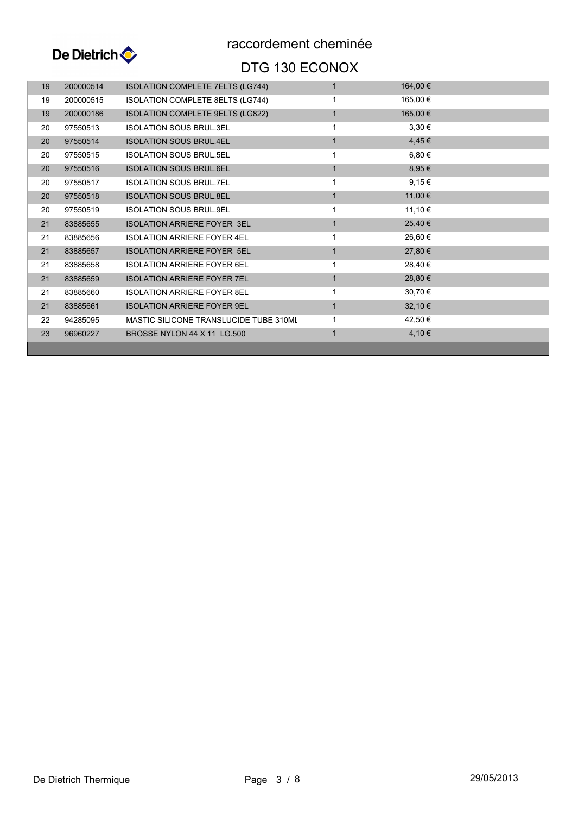

| 19 | 200000514 | <b>ISOLATION COMPLETE 7ELTS (LG744)</b> |              | 164,00 €   |  |
|----|-----------|-----------------------------------------|--------------|------------|--|
| 19 | 200000515 | <b>ISOLATION COMPLETE 8ELTS (LG744)</b> |              | 165,00 €   |  |
| 19 | 200000186 | ISOLATION COMPLETE 9ELTS (LG822)        |              | 165,00 €   |  |
| 20 | 97550513  | <b>ISOLATION SOUS BRUL 3EL</b>          | 1            | $3,30 \in$ |  |
| 20 | 97550514  | <b>ISOLATION SOUS BRUL.4EL</b>          | $\mathbf{1}$ | 4,45€      |  |
| 20 | 97550515  | <b>ISOLATION SOUS BRUL 5EL</b>          | 1            | $6,80 \in$ |  |
| 20 | 97550516  | <b>ISOLATION SOUS BRUL.6EL</b>          |              | $8,95 \in$ |  |
| 20 | 97550517  | <b>ISOLATION SOUS BRUL.7EL</b>          | 1            | 9,15€      |  |
| 20 | 97550518  | <b>ISOLATION SOUS BRUL.8EL</b>          | $\mathbf{1}$ | 11,00 €    |  |
| 20 | 97550519  | <b>ISOLATION SOUS BRUL 9EL</b>          | 1            | 11,10 €    |  |
| 21 | 83885655  | <b>ISOLATION ARRIERE FOYER 3EL</b>      | 1            | 25,40 €    |  |
| 21 | 83885656  | <b>ISOLATION ARRIERE FOYER 4EL</b>      | 1            | 26,60 €    |  |
| 21 | 83885657  | <b>ISOLATION ARRIERE FOYER 5EL</b>      | $\mathbf{1}$ | 27,80 €    |  |
| 21 | 83885658  | <b>ISOLATION ARRIERE FOYER 6EL</b>      | 1            | 28,40 €    |  |
| 21 | 83885659  | <b>ISOLATION ARRIERE FOYER 7EL</b>      | $\mathbf{1}$ | 28,80 €    |  |
| 21 | 83885660  | <b>ISOLATION ARRIERE FOYER 8EL</b>      | 1            | 30,70 €    |  |
| 21 | 83885661  | <b>ISOLATION ARRIERE FOYER 9EL</b>      | $\mathbf{1}$ | 32,10 €    |  |
| 22 | 94285095  | MASTIC SILICONE TRANSLUCIDE TUBE 310ML  | 1            | 42,50 €    |  |
| 23 | 96960227  | BROSSE NYLON 44 X 11 LG.500             |              | 4,10 €     |  |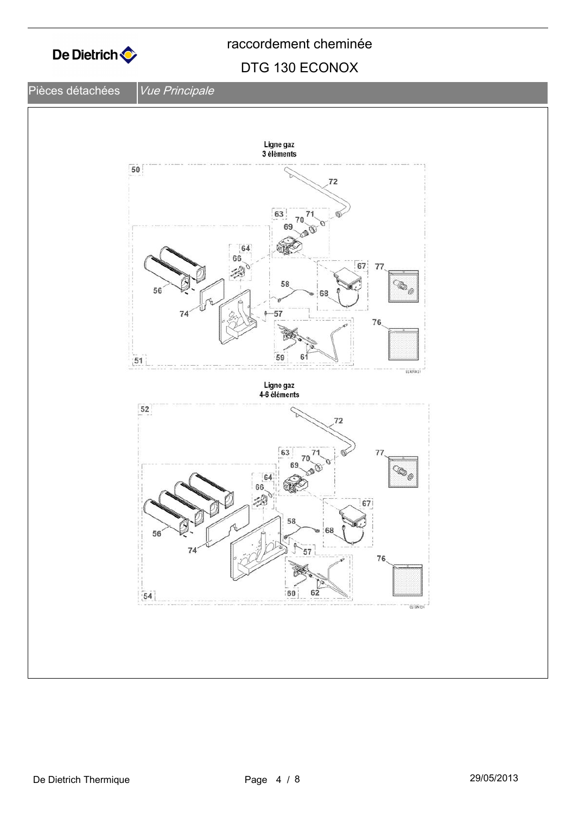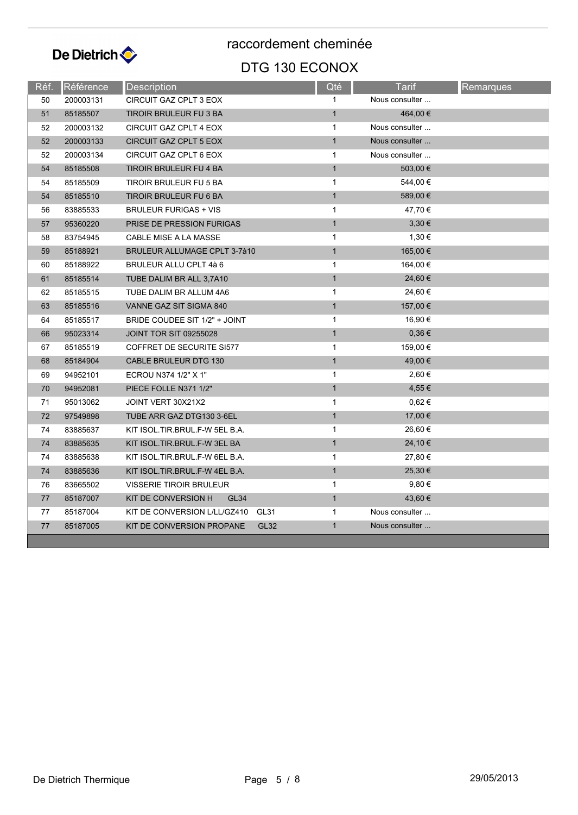

| Réf. | Référence | <b>Description</b>                       | Qté          | Tarif          | Remarques |
|------|-----------|------------------------------------------|--------------|----------------|-----------|
| 50   | 200003131 | CIRCUIT GAZ CPLT 3 EOX                   | 1            | Nous consulter |           |
| 51   | 85185507  | TIROIR BRULEUR FU 3 BA                   | $\mathbf{1}$ | 464,00 €       |           |
| 52   | 200003132 | CIRCUIT GAZ CPLT 4 EOX                   | $\mathbf{1}$ | Nous consulter |           |
| 52   | 200003133 | CIRCUIT GAZ CPLT 5 EOX                   | $\mathbf{1}$ | Nous consulter |           |
| 52   | 200003134 | CIRCUIT GAZ CPLT 6 EOX                   | $\mathbf{1}$ | Nous consulter |           |
| 54   | 85185508  | TIROIR BRULEUR FU 4 BA                   | $\mathbf{1}$ | 503,00 €       |           |
| 54   | 85185509  | TIROIR BRULEUR FU 5 BA                   | $\mathbf{1}$ | 544,00 €       |           |
| 54   | 85185510  | TIROIR BRULEUR FU 6 BA                   | $\mathbf{1}$ | 589,00 €       |           |
| 56   | 83885533  | <b>BRULEUR FURIGAS + VIS</b>             | 1            | 47,70 €        |           |
| 57   | 95360220  | PRISE DE PRESSION FURIGAS                | $\mathbf{1}$ | 3,30€          |           |
| 58   | 83754945  | CABLE MISE A LA MASSE                    | $\mathbf{1}$ | 1,30 €         |           |
| 59   | 85188921  | <b>BRULEUR ALLUMAGE CPLT 3-7à10</b>      | $\mathbf{1}$ | 165,00 €       |           |
| 60   | 85188922  | BRULEUR ALLU CPLT 4à 6                   | $\mathbf{1}$ | 164,00 €       |           |
| 61   | 85185514  | TUBE DALIM BR ALL 3,7A10                 | $\mathbf{1}$ | 24,60 €        |           |
| 62   | 85185515  | TUBE DALIM BR ALLUM 4A6                  | $\mathbf{1}$ | 24,60 €        |           |
| 63   | 85185516  | VANNE GAZ SIT SIGMA 840                  | $\mathbf{1}$ | 157,00 €       |           |
| 64   | 85185517  | BRIDE COUDEE SIT 1/2" + JOINT            | $\mathbf{1}$ | 16,90 €        |           |
| 66   | 95023314  | <b>JOINT TOR SIT 09255028</b>            | $\mathbf{1}$ | 0,36€          |           |
| 67   | 85185519  | COFFRET DE SECURITE SI577                | $\mathbf{1}$ | 159,00 €       |           |
| 68   | 85184904  | CABLE BRULEUR DTG 130                    | $\mathbf{1}$ | 49,00 €        |           |
| 69   | 94952101  | ECROU N374 1/2" X 1"                     | $\mathbf{1}$ | 2,60 €         |           |
| 70   | 94952081  | PIECE FOLLE N371 1/2"                    | $\mathbf{1}$ | 4,55 €         |           |
| 71   | 95013062  | JOINT VERT 30X21X2                       | $\mathbf{1}$ | $0,62 \in$     |           |
| 72   | 97549898  | TUBE ARR GAZ DTG130 3-6EL                | $\mathbf{1}$ | 17,00 €        |           |
| 74   | 83885637  | KIT ISOL.TIR.BRUL.F-W 5EL B.A.           | $\mathbf{1}$ | 26,60 €        |           |
| 74   | 83885635  | KIT ISOL.TIR.BRUL.F-W 3EL BA             | $\mathbf{1}$ | 24,10€         |           |
| 74   | 83885638  | KIT ISOL.TIR.BRUL.F-W 6EL B.A.           | $\mathbf{1}$ | 27,80 €        |           |
| 74   | 83885636  | KIT ISOL.TIR.BRUL.F-W 4EL B.A.           | $\mathbf{1}$ | 25,30 €        |           |
| 76   | 83665502  | <b>VISSERIE TIROIR BRULEUR</b>           | $\mathbf{1}$ | $9,80 \in$     |           |
| 77   | 85187007  | KIT DE CONVERSION H<br><b>GL34</b>       | $\mathbf{1}$ | 43,60 €        |           |
| 77   | 85187004  | KIT DE CONVERSION L/LL/GZ410<br>GL31     | $\mathbf{1}$ | Nous consulter |           |
| 77   | 85187005  | KIT DE CONVERSION PROPANE<br><b>GL32</b> | $\mathbf{1}$ | Nous consulter |           |
|      |           |                                          |              |                |           |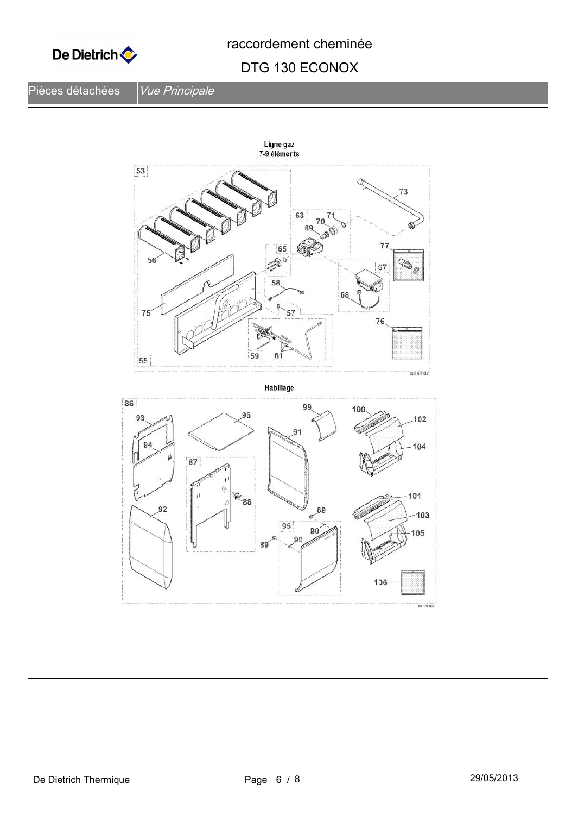

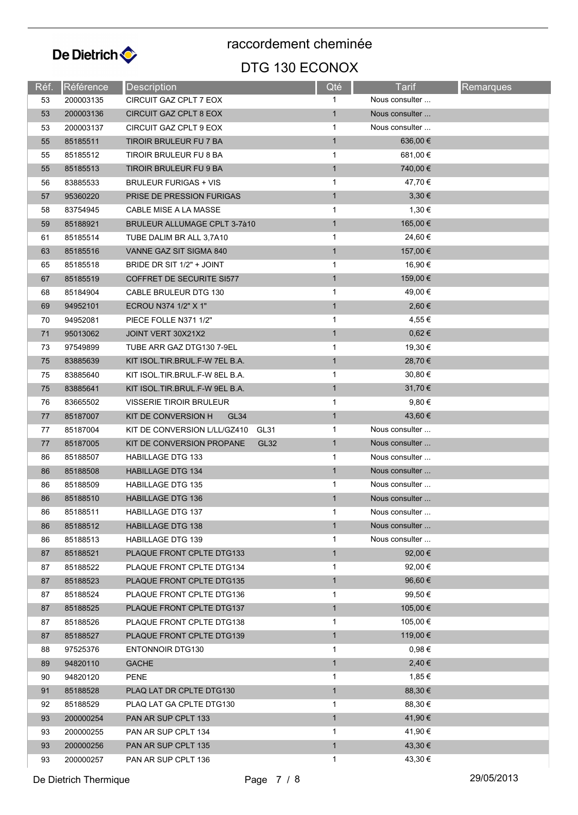

| Réf. | Référence | <b>Description</b>                      | Qté          | Tarif          | Remarques |
|------|-----------|-----------------------------------------|--------------|----------------|-----------|
| 53   | 200003135 | CIRCUIT GAZ CPLT 7 EOX                  |              | Nous consulter |           |
| 53   | 200003136 | <b>CIRCUIT GAZ CPLT 8 EOX</b>           | $\mathbf{1}$ | Nous consulter |           |
| 53   | 200003137 | CIRCUIT GAZ CPLT 9 EOX                  | $\mathbf{1}$ | Nous consulter |           |
| 55   | 85185511  | TIROIR BRULEUR FU 7 BA                  | $\mathbf{1}$ | 636,00 €       |           |
| 55   | 85185512  | TIROIR BRULEUR FU 8 BA                  | $\mathbf{1}$ | 681,00 €       |           |
| 55   | 85185513  | TIROIR BRULEUR FU 9 BA                  | $\mathbf{1}$ | 740,00 €       |           |
| 56   | 83885533  | <b>BRULEUR FURIGAS + VIS</b>            | 1            | 47,70 €        |           |
| 57   | 95360220  | PRISE DE PRESSION FURIGAS               | $\mathbf{1}$ | $3,30 \in$     |           |
| 58   | 83754945  | CABLE MISE A LA MASSE                   | $\mathbf{1}$ | 1,30 €         |           |
| 59   | 85188921  | <b>BRULEUR ALLUMAGE CPLT 3-7à10</b>     | $\mathbf{1}$ | 165,00 €       |           |
| 61   | 85185514  | TUBE DALIM BR ALL 3,7A10                | $\mathbf{1}$ | 24,60 €        |           |
| 63   | 85185516  | VANNE GAZ SIT SIGMA 840                 | $\mathbf{1}$ | 157,00 €       |           |
| 65   | 85185518  | BRIDE DR SIT 1/2" + JOINT               | $\mathbf{1}$ | 16,90 €        |           |
| 67   | 85185519  | COFFRET DE SECURITE SI577               | $\mathbf{1}$ | 159,00 €       |           |
| 68   | 85184904  | CABLE BRULEUR DTG 130                   | $\mathbf{1}$ | 49,00 €        |           |
| 69   | 94952101  | ECROU N374 1/2" X 1"                    | $\mathbf{1}$ | 2,60 €         |           |
| 70   | 94952081  | PIECE FOLLE N371 1/2"                   | $\mathbf{1}$ | 4,55 €         |           |
| 71   | 95013062  | JOINT VERT 30X21X2                      | $\mathbf{1}$ | $0,62 \in$     |           |
| 73   | 97549899  | TUBE ARR GAZ DTG130 7-9EL               | $\mathbf{1}$ | 19,30 €        |           |
| 75   | 83885639  | KIT ISOL.TIR.BRUL.F-W 7EL B.A.          | $\mathbf{1}$ | 28,70 €        |           |
| 75   | 83885640  | KIT ISOL.TIR.BRUL.F-W 8EL B.A.          | $\mathbf{1}$ | 30,80 €        |           |
| 75   | 83885641  | KIT ISOL.TIR.BRUL.F-W 9EL B.A.          | $\mathbf{1}$ | 31,70 €        |           |
| 76   | 83665502  | <b>VISSERIE TIROIR BRULEUR</b>          | $\mathbf{1}$ | 9,80€          |           |
| 77   | 85187007  | KIT DE CONVERSION H<br>GL <sub>34</sub> | $\mathbf{1}$ | 43,60 €        |           |
| 77   | 85187004  | KIT DE CONVERSION L/LL/GZ410<br>GL31    | $\mathbf{1}$ | Nous consulter |           |
| 77   | 85187005  | KIT DE CONVERSION PROPANE<br>GL32       | $\mathbf{1}$ | Nous consulter |           |
| 86   | 85188507  | <b>HABILLAGE DTG 133</b>                | 1            | Nous consulter |           |
| 86   | 85188508  | <b>HABILLAGE DTG 134</b>                | $\mathbf{1}$ | Nous consulter |           |
| 86   | 85188509  | <b>HABILLAGE DTG 135</b>                | $\mathbf{1}$ | Nous consulter |           |
| 86   | 85188510  | <b>HABILLAGE DTG 136</b>                | $\mathbf{1}$ | Nous consulter |           |
| 86   | 85188511  | <b>HABILLAGE DTG 137</b>                | 1            | Nous consulter |           |
| 86   | 85188512  | <b>HABILLAGE DTG 138</b>                | $\mathbf{1}$ | Nous consulter |           |
| 86   | 85188513  | HABILLAGE DTG 139                       | $\mathbf 1$  | Nous consulter |           |
| 87   | 85188521  | PLAQUE FRONT CPLTE DTG133               | $\mathbf{1}$ | 92,00 €        |           |
| 87   | 85188522  | PLAQUE FRONT CPLTE DTG134               | $\mathbf{1}$ | 92,00 €        |           |
| 87   | 85188523  | PLAQUE FRONT CPLTE DTG135               | $\mathbf{1}$ | 96,60 €        |           |
| 87   | 85188524  | PLAQUE FRONT CPLTE DTG136               | 1            | 99,50 €        |           |
| 87   | 85188525  | PLAQUE FRONT CPLTE DTG137               | $\mathbf{1}$ | 105,00 €       |           |
| 87   | 85188526  | PLAQUE FRONT CPLTE DTG138               | $\mathbf{1}$ | 105,00 €       |           |
| 87   | 85188527  | PLAQUE FRONT CPLTE DTG139               | $\mathbf{1}$ | 119,00 €       |           |
| 88   | 97525376  | <b>ENTONNOIR DTG130</b>                 | $\mathbf 1$  | $0,98 \in$     |           |
| 89   | 94820110  | <b>GACHE</b>                            | $\mathbf{1}$ | 2,40€          |           |
| 90   | 94820120  | PENE                                    | $\mathbf{1}$ | 1,85 €         |           |
| 91   | 85188528  | PLAQ LAT DR CPLTE DTG130                | $\mathbf{1}$ | 88,30 €        |           |
| 92   | 85188529  | PLAQ LAT GA CPLTE DTG130                | 1            | 88,30 €        |           |
| 93   | 200000254 | PAN AR SUP CPLT 133                     | $\mathbf{1}$ | 41,90 €        |           |
| 93   | 200000255 | PAN AR SUP CPLT 134                     | $\mathbf{1}$ | 41,90 €        |           |
| 93   | 200000256 | PAN AR SUP CPLT 135                     | $\mathbf{1}$ | 43,30 €        |           |
| 93   | 200000257 | PAN AR SUP CPLT 136                     | $\mathbf 1$  | 43,30 €        |           |